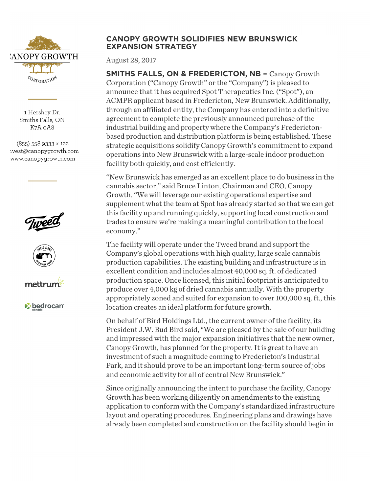

1 Hershey Dr. Smiths Falls, ON K7A oA8

(855) 558 9333 x 122 ivest@canopygrowth.com www.canopygrowth.com







*v* bedrocan

## **CANOPY GROWTH SOLIDIFIES NEW BRUNSWICK EXPANSION STRATEGY**

August 28, 2017

**SMITHS FALLS, ON & FREDERICTON, NB –** Canopy Growth Corporation ("Canopy Growth" or the "Company") is pleased to announce that it has acquired Spot Therapeutics Inc. ("Spot"), an ACMPR applicant based in Fredericton, New Brunswick. Additionally, through an affiliated entity, the Company has entered into a definitive agreement to complete the previously announced purchase of the industrial building and property where the Company's Frederictonbased production and distribution platform is being established. These strategic acquisitions solidify Canopy Growth's commitment to expand operations into New Brunswick with a large-scale indoor production facility both quickly, and cost efficiently.

"New Brunswick has emerged as an excellent place to do business in the cannabis sector," said Bruce Linton, Chairman and CEO, Canopy Growth. "We will leverage our existing operational expertise and supplement what the team at Spot has already started so that we can get this facility up and running quickly, supporting local construction and trades to ensure we're making a meaningful contribution to the local economy."

The facility will operate under the Tweed brand and support the Company's global operations with high quality, large scale cannabis production capabilities. The existing building and infrastructure is in excellent condition and includes almost 40,000 sq. ft. of dedicated production space. Once licensed, this initial footprint is anticipated to produce over 4,000 kg of dried cannabis annually. With the property appropriately zoned and suited for expansion to over 100,000 sq. ft., this location creates an ideal platform for future growth.

On behalf of Bird Holdings Ltd., the current owner of the facility, its President J.W. Bud Bird said, "We are pleased by the sale of our building and impressed with the major expansion initiatives that the new owner, Canopy Growth, has planned for the property. It is great to have an investment of such a magnitude coming to Fredericton's Industrial Park, and it should prove to be an important long-term source of jobs and economic activity for all of central New Brunswick."

Since originally announcing the intent to purchase the facility, Canopy Growth has been working diligently on amendments to the existing application to conform with the Company's standardized infrastructure layout and operating procedures. Engineering plans and drawings have already been completed and construction on the facility should begin in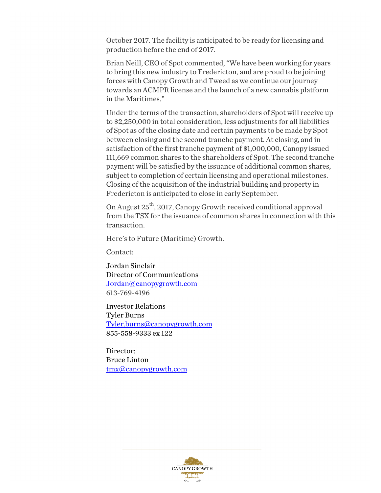October 2017. The facility is anticipated to be ready for licensing and production before the end of 2017.

Brian Neill, CEO of Spot commented, "We have been working for years to bring this new industry to Fredericton, and are proud to be joining forces with Canopy Growth and Tweed as we continue our journey towards an ACMPR license and the launch of a new cannabis platform in the Maritimes."

Under the terms of the transaction, shareholders of Spot will receive up to \$2,250,000 in total consideration, less adjustments for all liabilities of Spot as of the closing date and certain payments to be made by Spot between closing and the second tranche payment. At closing, and in satisfaction of the first tranche payment of \$1,000,000, Canopy issued 111,669 common shares to the shareholders of Spot. The second tranche payment will be satisfied by the issuance of additional common shares, subject to completion of certain licensing and operational milestones. Closing of the acquisition of the industrial building and property in Fredericton is anticipated to close in early September.

On August 25<sup>th</sup>, 2017, Canopy Growth received conditional approval from the TSX for the issuance of common shares in connection with this transaction.

Here's to Future (Maritime) Growth.

Contact:

Jordan Sinclair Director of Communications Jordan@canopygrowth.com 613-769-4196

Investor Relations Tyler Burns Tyler.burns@canopygrowth.com 855-558-9333 ex 122

Director: Bruce Linton tmx@canopygrowth.com